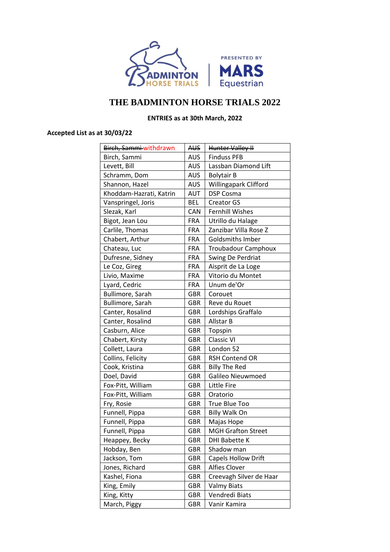

## **THE BADMINTON HORSE TRIALS 2022**

## **ENTRIES as at 30th March, 2022**

## **Accepted List as at 30/03/22**

| Birch, Sammi-withdrawn  | AUS        | Hunter Valley II           |  |
|-------------------------|------------|----------------------------|--|
| Birch, Sammi            | <b>AUS</b> | <b>Finduss PFB</b>         |  |
| Levett, Bill            | <b>AUS</b> | Lassban Diamond Lift       |  |
| Schramm, Dom            | AUS        | <b>Bolytair B</b>          |  |
| Shannon, Hazel          | <b>AUS</b> | Willingapark Clifford      |  |
| Khoddam-Hazrati, Katrin | AUT        | <b>DSP Cosma</b>           |  |
| Vanspringel, Joris      | <b>BEL</b> | <b>Creator GS</b>          |  |
| Slezak, Karl            | CAN        | <b>Fernhill Wishes</b>     |  |
| Bigot, Jean Lou         | <b>FRA</b> | Utrillo du Halage          |  |
| Carlile, Thomas         | <b>FRA</b> | Zanzibar Villa Rose Z      |  |
| Chabert, Arthur         | <b>FRA</b> | <b>Goldsmiths Imber</b>    |  |
| Chateau, Luc            | <b>FRA</b> | <b>Troubadour Camphoux</b> |  |
| Dufresne, Sidney        | <b>FRA</b> | Swing De Perdriat          |  |
| Le Coz, Gireg           | <b>FRA</b> | Aisprit de La Loge         |  |
| Livio, Maxime           | <b>FRA</b> | Vitorio du Montet          |  |
| Lyard, Cedric           | <b>FRA</b> | Unum de'Or                 |  |
| Bullimore, Sarah        | <b>GBR</b> | Corouet                    |  |
| Bullimore, Sarah        | GBR        | Reve du Rouet              |  |
| Canter, Rosalind        | <b>GBR</b> | Lordships Graffalo         |  |
| Canter, Rosalind        | <b>GBR</b> | Allstar B                  |  |
| Casburn, Alice          | GBR        | Topspin                    |  |
| Chabert, Kirsty         | <b>GBR</b> | <b>Classic VI</b>          |  |
| Collett, Laura          | <b>GBR</b> | London 52                  |  |
| Collins, Felicity       | <b>GBR</b> | <b>RSH Contend OR</b>      |  |
| Cook, Kristina          | GBR        | <b>Billy The Red</b>       |  |
| Doel, David             | <b>GBR</b> | Galileo Nieuwmoed          |  |
| Fox-Pitt, William       | <b>GBR</b> | <b>Little Fire</b>         |  |
| Fox-Pitt, William       | GBR        | Oratorio                   |  |
| Fry, Rosie              | <b>GBR</b> | True Blue Too              |  |
| Funnell, Pippa          | <b>GBR</b> | <b>Billy Walk On</b>       |  |
| Funnell, Pippa          | GBR        | Majas Hope                 |  |
| Funnell, Pippa          | <b>GBR</b> | <b>MGH Grafton Street</b>  |  |
| Heappey, Becky          | <b>GBR</b> | <b>DHI Babette K</b>       |  |
| Hobday, Ben             | <b>GBR</b> | Shadow man                 |  |
| Jackson, Tom            | <b>GBR</b> | <b>Capels Hollow Drift</b> |  |
| Jones, Richard          | <b>GBR</b> | Alfies Clover              |  |
| Kashel, Fiona           | <b>GBR</b> | Creevagh Silver de Haar    |  |
| King, Emily             | <b>GBR</b> | <b>Valmy Biats</b>         |  |
| King, Kitty             | <b>GBR</b> | Vendredi Biats             |  |
| March, Piggy            | <b>GBR</b> | Vanir Kamira               |  |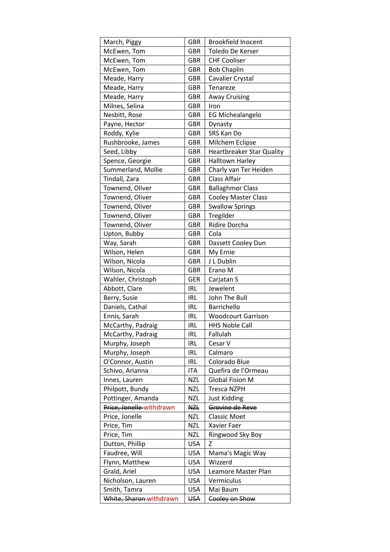| March, Piggy             | <b>GBR</b> | <b>Brookfield Inocent</b>        |  |
|--------------------------|------------|----------------------------------|--|
| McEwen, Tom              | <b>GBR</b> | Toledo De Kerser                 |  |
| McEwen, Tom              | GBR        | <b>CHF Cooliser</b>              |  |
| McEwen, Tom              | <b>GBR</b> | <b>Bob Chaplin</b>               |  |
| Meade, Harry             | <b>GBR</b> | Cavalier Crystal                 |  |
| Meade, Harry             | <b>GBR</b> | Tenareze                         |  |
| Meade, Harry             | <b>GBR</b> | Away Cruising                    |  |
| Milnes, Selina           | <b>GBR</b> | Iron                             |  |
| Nesbitt, Rose            | GBR        | <b>EG Michealangelo</b>          |  |
| Payne, Hector            | GBR        | Dynasty                          |  |
| Roddy, Kylie             | <b>GBR</b> | SRS Kan Do                       |  |
| Rushbrooke, James        | <b>GBR</b> | Milchem Eclipse                  |  |
| Seed, Libby              | GBR        | <b>Heartbreaker Star Quality</b> |  |
| Spence, Georgie          | <b>GBR</b> | <b>Halltown Harley</b>           |  |
| Summerland, Mollie       | <b>GBR</b> | Charly van Ter Heiden            |  |
| Tindall, Zara            | GBR        | <b>Class Affair</b>              |  |
| Townend, Oliver          | <b>GBR</b> | <b>Ballaghmor Class</b>          |  |
| Townend, Oliver          | <b>GBR</b> | <b>Cooley Master Class</b>       |  |
| Townend, Oliver          | <b>GBR</b> | <b>Swallow Springs</b>           |  |
| Townend, Oliver          | <b>GBR</b> | Tregilder                        |  |
| Townend, Oliver          | <b>GBR</b> | <b>Ridire Dorcha</b>             |  |
| Upton, Bubby             | GBR        | Cola                             |  |
| Way, Sarah               | GBR        | Dassett Cooley Dun               |  |
| Wilson, Helen            | <b>GBR</b> | My Ernie                         |  |
| Wilson, Nicola           | <b>GBR</b> | J L Dublin                       |  |
| Wilson, Nicola           | GBR        | Erano M                          |  |
| Wahler, Christoph        | <b>GER</b> | Carjatan S                       |  |
| Abbott, Clare            | <b>IRL</b> | Jewelent                         |  |
| Berry, Susie             | <b>IRL</b> | John The Bull                    |  |
| Daniels, Cathal          | <b>IRL</b> | Barrichello                      |  |
| Ennis, Sarah             | <b>IRL</b> | <b>Woodcourt Garrison</b>        |  |
| McCarthy, Padraig        | IRL        | <b>HHS Noble Call</b>            |  |
| McCarthy, Padraig        | <b>IRL</b> | Fallulah                         |  |
| Murphy, Joseph           | <b>IRL</b> | Cesar V                          |  |
| Murphy, Joseph           | <b>IRL</b> | Calmaro                          |  |
| O'Connor, Austin         | <b>IRL</b> | Colorado Blue                    |  |
| Schivo, Arianna          | <b>ITA</b> | Quefira de l'Ormeau              |  |
| Innes, Lauren            | <b>NZL</b> | <b>Global Fision M</b>           |  |
| Philpott, Bundy          | <b>NZL</b> | Tresca NZPH                      |  |
| Pottinger, Amanda        | <b>NZL</b> | <b>Just Kidding</b>              |  |
| Price, Jonelle withdrawn | NZL        | Grovine de Reve                  |  |
| Price, Jonelle           | <b>NZL</b> | <b>Classic Moet</b>              |  |
| Price, Tim               | <b>NZL</b> | Xavier Faer                      |  |
| Price, Tim               | <b>NZL</b> | Ringwood Sky Boy                 |  |
| Dutton, Phillip          | <b>USA</b> | Z                                |  |
| Faudree, Will            | <b>USA</b> | Mama's Magic Way                 |  |
| Flynn, Matthew           | <b>USA</b> | Wizzerd                          |  |
| Grald, Ariel             | <b>USA</b> | Leamore Master Plan              |  |
| Nicholson, Lauren        | <b>USA</b> | Vermiculus                       |  |
| Smith, Tamra             | <b>USA</b> | Mai Baum                         |  |
| White, Sharon-withdrawn  | <b>USA</b> | Cooley on Show                   |  |